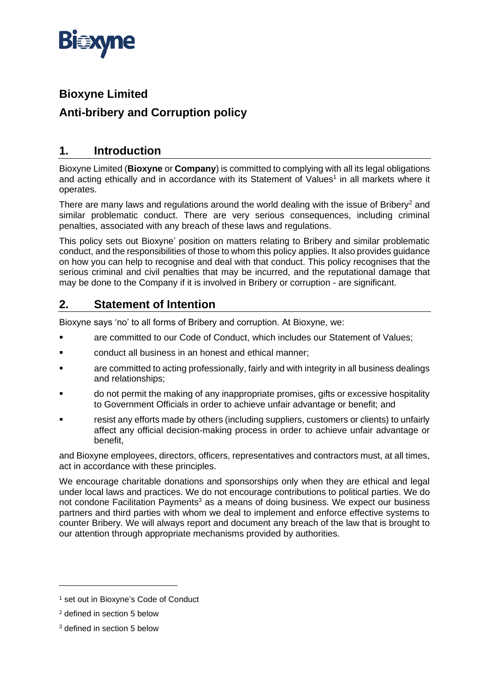

# **Bioxyne Limited Anti-bribery and Corruption policy**

# **1. Introduction**

Bioxyne Limited (**Bioxyne** or **Company**) is committed to complying with all its legal obligations and acting ethically and in accordance with its Statement of Values<sup>1</sup> in all markets where it operates.

There are many laws and regulations around the world dealing with the issue of Bribery<sup>2</sup> and similar problematic conduct. There are very serious consequences, including criminal penalties, associated with any breach of these laws and regulations.

This policy sets out Bioxyne' position on matters relating to Bribery and similar problematic conduct, and the responsibilities of those to whom this policy applies. It also provides guidance on how you can help to recognise and deal with that conduct. This policy recognises that the serious criminal and civil penalties that may be incurred, and the reputational damage that may be done to the Company if it is involved in Bribery or corruption - are significant.

# **2. Statement of Intention**

Bioxyne says 'no' to all forms of Bribery and corruption. At Bioxyne, we:

- are committed to our Code of Conduct, which includes our Statement of Values;
- conduct all business in an honest and ethical manner;
- are committed to acting professionally, fairly and with integrity in all business dealings and relationships;
- do not permit the making of any inappropriate promises, gifts or excessive hospitality to Government Officials in order to achieve unfair advantage or benefit; and
- resist any efforts made by others (including suppliers, customers or clients) to unfairly affect any official decision-making process in order to achieve unfair advantage or benefit,

and Bioxyne employees, directors, officers, representatives and contractors must, at all times, act in accordance with these principles.

We encourage charitable donations and sponsorships only when they are ethical and legal under local laws and practices. We do not encourage contributions to political parties. We do not condone Facilitation Payments<sup>3</sup> as a means of doing business. We expect our business partners and third parties with whom we deal to implement and enforce effective systems to counter Bribery. We will always report and document any breach of the law that is brought to our attention through appropriate mechanisms provided by authorities.

<sup>&</sup>lt;sup>1</sup> set out in Bioxyne's Code of Conduct

<sup>2</sup> defined in section [5](#page-1-0) below

<sup>3</sup> defined in section [5](#page-1-0) below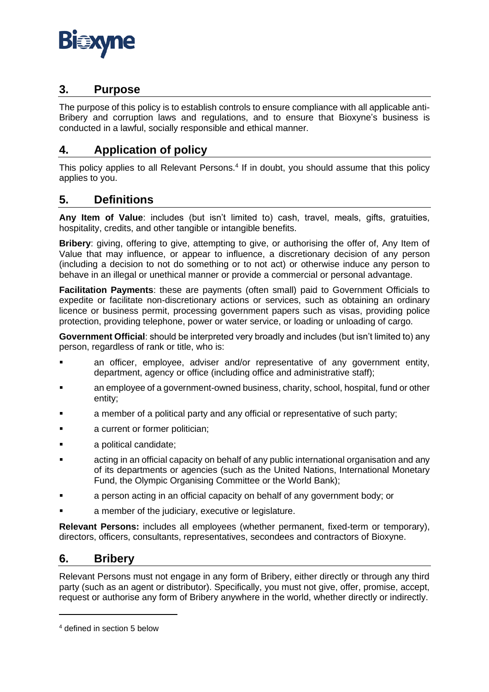### **3. Purpose**

The purpose of this policy is to establish controls to ensure compliance with all applicable anti-Bribery and corruption laws and regulations, and to ensure that Bioxyne's business is conducted in a lawful, socially responsible and ethical manner.

# **4. Application of policy**

This policy applies to all Relevant Persons.<sup>4</sup> If in doubt, you should assume that this policy applies to you.

# <span id="page-1-0"></span>**5. Definitions**

**Any Item of Value**: includes (but isn't limited to) cash, travel, meals, gifts, gratuities, hospitality, credits, and other tangible or intangible benefits.

**Bribery**: giving, offering to give, attempting to give, or authorising the offer of, Any Item of Value that may influence, or appear to influence, a discretionary decision of any person (including a decision to not do something or to not act) or otherwise induce any person to behave in an illegal or unethical manner or provide a commercial or personal advantage.

**Facilitation Payments**: these are payments (often small) paid to Government Officials to expedite or facilitate non-discretionary actions or services, such as obtaining an ordinary licence or business permit, processing government papers such as visas, providing police protection, providing telephone, power or water service, or loading or unloading of cargo.

**Government Official**: should be interpreted very broadly and includes (but isn't limited to) any person, regardless of rank or title, who is:

- an officer, employee, adviser and/or representative of any government entity, department, agency or office (including office and administrative staff);
- an employee of a government-owned business, charity, school, hospital, fund or other entity;
- a member of a political party and any official or representative of such party;
- a current or former politician:
- a political candidate;
- acting in an official capacity on behalf of any public international organisation and any of its departments or agencies (such as the United Nations, International Monetary Fund, the Olympic Organising Committee or the World Bank);
- a person acting in an official capacity on behalf of any government body; or
- a member of the judiciary, executive or legislature.

**Relevant Persons:** includes all employees (whether permanent, fixed-term or temporary), directors, officers, consultants, representatives, secondees and contractors of Bioxyne.

# **6. Bribery**

Relevant Persons must not engage in any form of Bribery, either directly or through any third party (such as an agent or distributor). Specifically, you must not give, offer, promise, accept, request or authorise any form of Bribery anywhere in the world, whether directly or indirectly.

<sup>4</sup> defined in section [5](#page-1-0) below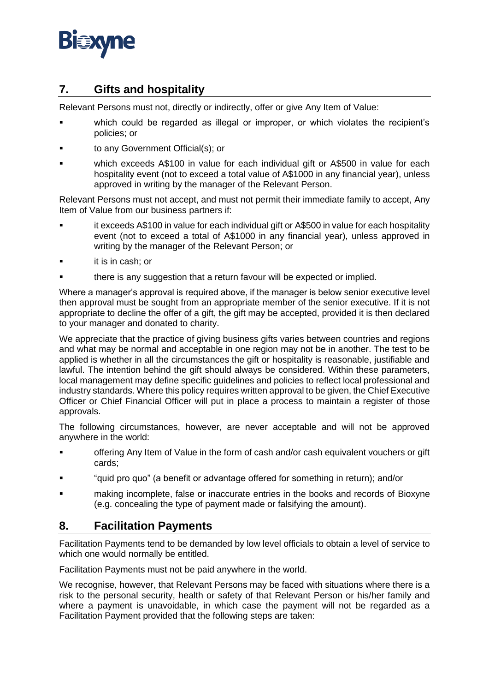

# **7. Gifts and hospitality**

Relevant Persons must not, directly or indirectly, offer or give Any Item of Value:

- which could be regarded as illegal or improper, or which violates the recipient's policies; or
- to any Government Official(s); or
- which exceeds A\$100 in value for each individual gift or A\$500 in value for each hospitality event (not to exceed a total value of A\$1000 in any financial year), unless approved in writing by the manager of the Relevant Person.

Relevant Persons must not accept, and must not permit their immediate family to accept, Any Item of Value from our business partners if:

- it exceeds A\$100 in value for each individual gift or A\$500 in value for each hospitality event (not to exceed a total of A\$1000 in any financial year), unless approved in writing by the manager of the Relevant Person; or
- it is in cash; or
- there is any suggestion that a return favour will be expected or implied.

Where a manager's approval is required above, if the manager is below senior executive level then approval must be sought from an appropriate member of the senior executive. If it is not appropriate to decline the offer of a gift, the gift may be accepted, provided it is then declared to your manager and donated to charity.

We appreciate that the practice of giving business gifts varies between countries and regions and what may be normal and acceptable in one region may not be in another. The test to be applied is whether in all the circumstances the gift or hospitality is reasonable, justifiable and lawful. The intention behind the gift should always be considered. Within these parameters, local management may define specific guidelines and policies to reflect local professional and industry standards. Where this policy requires written approval to be given, the Chief Executive Officer or Chief Financial Officer will put in place a process to maintain a register of those approvals.

The following circumstances, however, are never acceptable and will not be approved anywhere in the world:

- offering Any Item of Value in the form of cash and/or cash equivalent vouchers or gift cards;
- "quid pro quo" (a benefit or advantage offered for something in return); and/or
- making incomplete, false or inaccurate entries in the books and records of Bioxyne (e.g. concealing the type of payment made or falsifying the amount).

#### **8. Facilitation Payments**

Facilitation Payments tend to be demanded by low level officials to obtain a level of service to which one would normally be entitled.

Facilitation Payments must not be paid anywhere in the world.

We recognise, however, that Relevant Persons may be faced with situations where there is a risk to the personal security, health or safety of that Relevant Person or his/her family and where a payment is unavoidable, in which case the payment will not be regarded as a Facilitation Payment provided that the following steps are taken: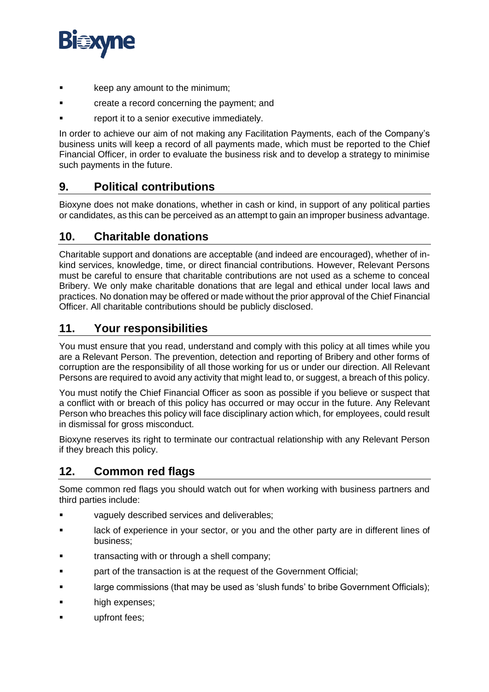

- keep any amount to the minimum;
- create a record concerning the payment; and
- report it to a senior executive immediately.

In order to achieve our aim of not making any Facilitation Payments, each of the Company's business units will keep a record of all payments made, which must be reported to the Chief Financial Officer, in order to evaluate the business risk and to develop a strategy to minimise such payments in the future.

### **9. Political contributions**

Bioxyne does not make donations, whether in cash or kind, in support of any political parties or candidates, as this can be perceived as an attempt to gain an improper business advantage.

#### **10. Charitable donations**

Charitable support and donations are acceptable (and indeed are encouraged), whether of inkind services, knowledge, time, or direct financial contributions. However, Relevant Persons must be careful to ensure that charitable contributions are not used as a scheme to conceal Bribery. We only make charitable donations that are legal and ethical under local laws and practices. No donation may be offered or made without the prior approval of the Chief Financial Officer. All charitable contributions should be publicly disclosed.

### **11. Your responsibilities**

You must ensure that you read, understand and comply with this policy at all times while you are a Relevant Person. The prevention, detection and reporting of Bribery and other forms of corruption are the responsibility of all those working for us or under our direction. All Relevant Persons are required to avoid any activity that might lead to, or suggest, a breach of this policy.

You must notify the Chief Financial Officer as soon as possible if you believe or suspect that a conflict with or breach of this policy has occurred or may occur in the future. Any Relevant Person who breaches this policy will face disciplinary action which, for employees, could result in dismissal for gross misconduct.

Bioxyne reserves its right to terminate our contractual relationship with any Relevant Person if they breach this policy.

### **12. Common red flags**

Some common red flags you should watch out for when working with business partners and third parties include:

- vaguely described services and deliverables;
- lack of experience in your sector, or you and the other party are in different lines of business;
- transacting with or through a shell company;
- part of the transaction is at the request of the Government Official;
- large commissions (that may be used as 'slush funds' to bribe Government Officials);
- high expenses;
- upfront fees: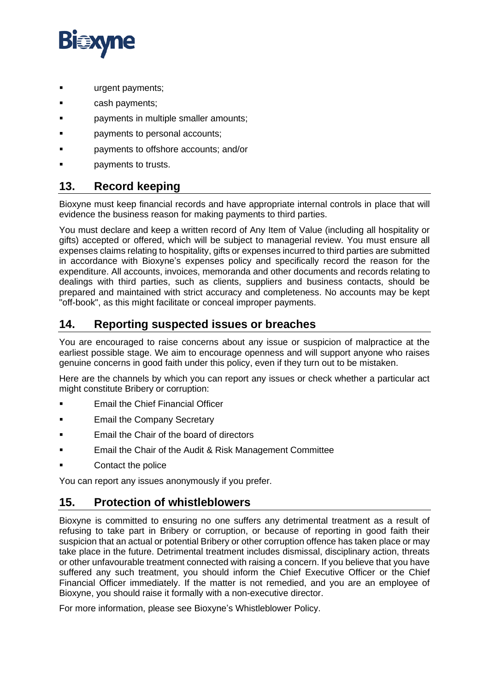

- urgent payments;
- cash payments;
- payments in multiple smaller amounts:
- payments to personal accounts;
- payments to offshore accounts; and/or
- payments to trusts.

### **13. Record keeping**

Bioxyne must keep financial records and have appropriate internal controls in place that will evidence the business reason for making payments to third parties.

You must declare and keep a written record of Any Item of Value (including all hospitality or gifts) accepted or offered, which will be subject to managerial review. You must ensure all expenses claims relating to hospitality, gifts or expenses incurred to third parties are submitted in accordance with Bioxyne's expenses policy and specifically record the reason for the expenditure. All accounts, invoices, memoranda and other documents and records relating to dealings with third parties, such as clients, suppliers and business contacts, should be prepared and maintained with strict accuracy and completeness. No accounts may be kept "off-book", as this might facilitate or conceal improper payments.

# **14. Reporting suspected issues or breaches**

You are encouraged to raise concerns about any issue or suspicion of malpractice at the earliest possible stage. We aim to encourage openness and will support anyone who raises genuine concerns in good faith under this policy, even if they turn out to be mistaken.

Here are the channels by which you can report any issues or check whether a particular act might constitute Bribery or corruption:

- **Email the Chief Financial Officer**
- **Email the Company Secretary**
- Email the Chair of the board of directors
- Email the Chair of the Audit & Risk Management Committee
- Contact the police

You can report any issues anonymously if you prefer.

#### **15. Protection of whistleblowers**

Bioxyne is committed to ensuring no one suffers any detrimental treatment as a result of refusing to take part in Bribery or corruption, or because of reporting in good faith their suspicion that an actual or potential Bribery or other corruption offence has taken place or may take place in the future. Detrimental treatment includes dismissal, disciplinary action, threats or other unfavourable treatment connected with raising a concern. If you believe that you have suffered any such treatment, you should inform the Chief Executive Officer or the Chief Financial Officer immediately. If the matter is not remedied, and you are an employee of Bioxyne, you should raise it formally with a non-executive director.

For more information, please see Bioxyne's Whistleblower Policy.